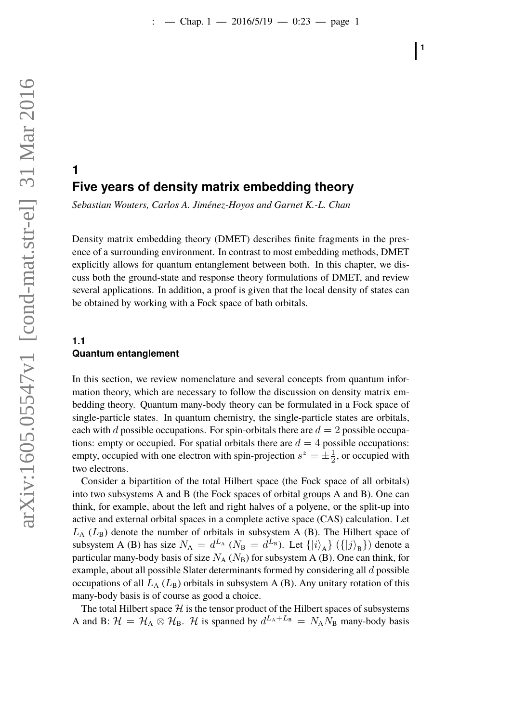# **1 Five years of density matrix embedding theory**

*Sebastian Wouters, Carlos A. Jiménez-Hoyos and Garnet K.-L. Chan*

Density matrix embedding theory (DMET) describes finite fragments in the presence of a surrounding environment. In contrast to most embedding methods, DMET explicitly allows for quantum entanglement between both. In this chapter, we discuss both the ground-state and response theory formulations of DMET, and review several applications. In addition, a proof is given that the local density of states can be obtained by working with a Fock space of bath orbitals.

# <span id="page-0-0"></span>**1.1 Quantum entanglement**

In this section, we review nomenclature and several concepts from quantum information theory, which are necessary to follow the discussion on density matrix embedding theory. Quantum many-body theory can be formulated in a Fock space of single-particle states. In quantum chemistry, the single-particle states are orbitals, each with d possible occupations. For spin-orbitals there are  $d = 2$  possible occupations: empty or occupied. For spatial orbitals there are  $d = 4$  possible occupations: empty, occupied with one electron with spin-projection  $s^z = \pm \frac{1}{2}$ , or occupied with two electrons.

Consider a bipartition of the total Hilbert space (the Fock space of all orbitals) into two subsystems A and B (the Fock spaces of orbital groups A and B). One can think, for example, about the left and right halves of a polyene, or the split-up into active and external orbital spaces in a complete active space (CAS) calculation. Let  $L_A$  ( $L_B$ ) denote the number of orbitals in subsystem A (B). The Hilbert space of subsystem A (B) has size  $N_A = d^{L_A} (N_B = d^{L_B})$ . Let  $\{|i\rangle_A\} (\{|j\rangle_B\})$  denote a particular many-body basis of size  $N_A$  ( $N_B$ ) for subsystem A (B). One can think, for example, about all possible Slater determinants formed by considering all  $d$  possible occupations of all  $L_A$  ( $L_B$ ) orbitals in subsystem A (B). Any unitary rotation of this many-body basis is of course as good a choice.

The total Hilbert space  $H$  is the tensor product of the Hilbert spaces of subsystems A and B:  $H = H_A \otimes H_B$ . H is spanned by  $d^{L_A + L_B} = N_A N_B$  many-body basis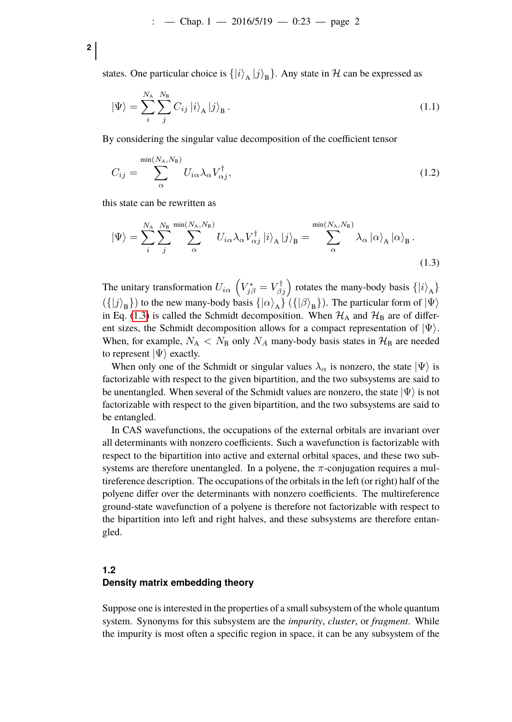states. One particular choice is  $\{|i\rangle_{A}|j\rangle_{B}\}$ . Any state in  $H$  can be expressed as

$$
|\Psi\rangle = \sum_{i}^{N_{\rm A}} \sum_{j}^{N_{\rm B}} C_{ij} |i\rangle_{\rm A} |j\rangle_{\rm B}.
$$
 (1.1)

By considering the singular value decomposition of the coefficient tensor

$$
C_{ij} = \sum_{\alpha}^{\min(N_A, N_B)} U_{i\alpha} \lambda_{\alpha} V_{\alpha j}^{\dagger}, \qquad (1.2)
$$

this state can be rewritten as

<span id="page-1-0"></span>
$$
|\Psi\rangle = \sum_{i}^{N_{\rm A}} \sum_{j}^{N_{\rm B}} \sum_{\alpha}^{\min(N_{\rm A}, N_{\rm B})} U_{i\alpha} \lambda_{\alpha} V_{\alpha j}^{\dagger} |i\rangle_{\rm A} |j\rangle_{\rm B} = \sum_{\alpha}^{\min(N_{\rm A}, N_{\rm B})} \lambda_{\alpha} |\alpha\rangle_{\rm A} |\alpha\rangle_{\rm B}.
$$
\n(1.3)

The unitary transformation  $U_{i\alpha}$   $\left(V_{j\beta}^*=V_{\beta j}^{\dagger}\right)$  rotates the many-body basis  $\{|i\rangle_{A}\}$  $({{|j\rangle}_B})$  to the new many-body basis  ${| \alpha \rangle}_A$   $({{| \beta \rangle}_B})$ . The particular form of  $| \Psi \rangle$ in Eq. [\(1.3\)](#page-1-0) is called the Schmidt decomposition. When  $H_A$  and  $H_B$  are of different sizes, the Schmidt decomposition allows for a compact representation of  $|\Psi\rangle$ . When, for example,  $N_A < N_B$  only  $N_A$  many-body basis states in  $\mathcal{H}_B$  are needed to represent  $|\Psi\rangle$  exactly.

When only one of the Schmidt or singular values  $\lambda_{\alpha}$  is nonzero, the state  $|\Psi\rangle$  is factorizable with respect to the given bipartition, and the two subsystems are said to be unentangled. When several of the Schmidt values are nonzero, the state  $|\Psi\rangle$  is not factorizable with respect to the given bipartition, and the two subsystems are said to be entangled.

In CAS wavefunctions, the occupations of the external orbitals are invariant over all determinants with nonzero coefficients. Such a wavefunction is factorizable with respect to the bipartition into active and external orbital spaces, and these two subsystems are therefore unentangled. In a polyene, the  $\pi$ -conjugation requires a multireference description. The occupations of the orbitals in the left (or right) half of the polyene differ over the determinants with nonzero coefficients. The multireference ground-state wavefunction of a polyene is therefore not factorizable with respect to the bipartition into left and right halves, and these subsystems are therefore entangled.

#### <span id="page-1-1"></span>**1.2**

#### **Density matrix embedding theory**

Suppose one is interested in the properties of a small subsystem of the whole quantum system. Synonyms for this subsystem are the *impurity*, *cluster*, or *fragment*. While the impurity is most often a specific region in space, it can be any subsystem of the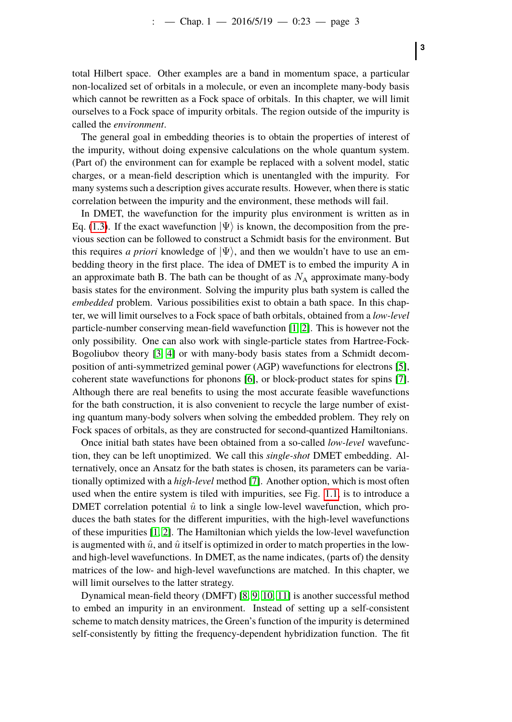total Hilbert space. Other examples are a band in momentum space, a particular non-localized set of orbitals in a molecule, or even an incomplete many-body basis which cannot be rewritten as a Fock space of orbitals. In this chapter, we will limit ourselves to a Fock space of impurity orbitals. The region outside of the impurity is called the *environment*.

The general goal in embedding theories is to obtain the properties of interest of the impurity, without doing expensive calculations on the whole quantum system. (Part of) the environment can for example be replaced with a solvent model, static charges, or a mean-field description which is unentangled with the impurity. For many systems such a description gives accurate results. However, when there is static correlation between the impurity and the environment, these methods will fail.

In DMET, the wavefunction for the impurity plus environment is written as in Eq. [\(1.3\)](#page-1-0). If the exact wavefunction  $|\Psi\rangle$  is known, the decomposition from the previous section can be followed to construct a Schmidt basis for the environment. But this requires *a priori* knowledge of  $|\Psi\rangle$ , and then we wouldn't have to use an embedding theory in the first place. The idea of DMET is to embed the impurity A in an approximate bath B. The bath can be thought of as  $N_A$  approximate many-body basis states for the environment. Solving the impurity plus bath system is called the *embedded* problem. Various possibilities exist to obtain a bath space. In this chapter, we will limit ourselves to a Fock space of bath orbitals, obtained from a *low-level* particle-number conserving mean-field wavefunction [\[1,](#page-18-0) [2\]](#page-18-1). This is however not the only possibility. One can also work with single-particle states from Hartree-Fock-Bogoliubov theory [\[3,](#page-18-2) [4\]](#page-18-3) or with many-body basis states from a Schmidt decomposition of anti-symmetrized geminal power (AGP) wavefunctions for electrons [\[5\]](#page-18-4), coherent state wavefunctions for phonons [\[6\]](#page-18-5), or block-product states for spins [\[7\]](#page-18-6). Although there are real benefits to using the most accurate feasible wavefunctions for the bath construction, it is also convenient to recycle the large number of existing quantum many-body solvers when solving the embedded problem. They rely on Fock spaces of orbitals, as they are constructed for second-quantized Hamiltonians.

Once initial bath states have been obtained from a so-called *low-level* wavefunction, they can be left unoptimized. We call this *single-shot* DMET embedding. Alternatively, once an Ansatz for the bath states is chosen, its parameters can be variationally optimized with a *high-level* method [\[7\]](#page-18-6). Another option, which is most often used when the entire system is tiled with impurities, see Fig. [1.1,](#page-5-0) is to introduce a DMET correlation potential  $\hat{u}$  to link a single low-level wavefunction, which produces the bath states for the different impurities, with the high-level wavefunctions of these impurities [\[1,](#page-18-0) [2\]](#page-18-1). The Hamiltonian which yields the low-level wavefunction is augmented with  $\hat{u}$ , and  $\hat{u}$  itself is optimized in order to match properties in the lowand high-level wavefunctions. In DMET, as the name indicates, (parts of) the density matrices of the low- and high-level wavefunctions are matched. In this chapter, we will limit ourselves to the latter strategy.

Dynamical mean-field theory (DMFT) [\[8,](#page-18-7) [9,](#page-18-8) [10,](#page-18-9) [11\]](#page-18-10) is another successful method to embed an impurity in an environment. Instead of setting up a self-consistent scheme to match density matrices, the Green's function of the impurity is determined self-consistently by fitting the frequency-dependent hybridization function. The fit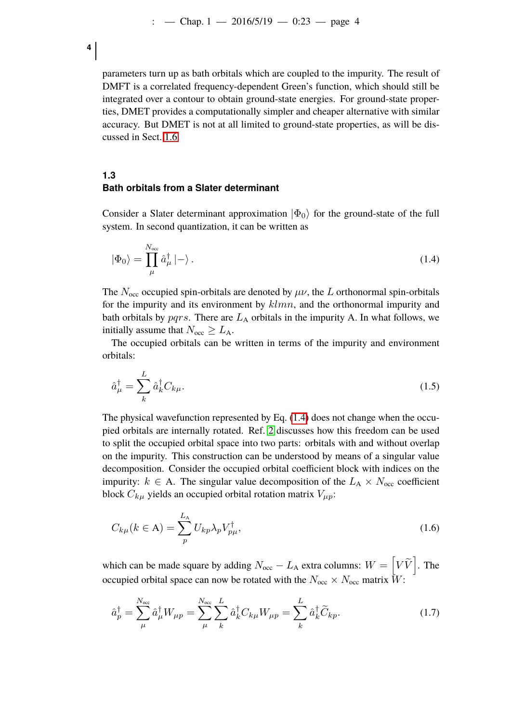parameters turn up as bath orbitals which are coupled to the impurity. The result of DMFT is a correlated frequency-dependent Green's function, which should still be integrated over a contour to obtain ground-state energies. For ground-state properties, DMET provides a computationally simpler and cheaper alternative with similar accuracy. But DMET is not at all limited to ground-state properties, as will be discussed in Sect. [1.6.](#page-9-0)

## <span id="page-3-1"></span>**1.3 Bath orbitals from a Slater determinant**

Consider a Slater determinant approximation  $|\Phi_0\rangle$  for the ground-state of the full system. In second quantization, it can be written as

<span id="page-3-0"></span>
$$
|\Phi_0\rangle = \prod_{\mu}^{N_{\text{occ}}} \hat{a}_{\mu}^{\dagger} |-\rangle \,. \tag{1.4}
$$

The  $N_{\text{occ}}$  occupied spin-orbitals are denoted by  $\mu\nu$ , the L orthonormal spin-orbitals for the impurity and its environment by  $klmn$ , and the orthonormal impurity and bath orbitals by pqrs. There are  $L_A$  orbitals in the impurity A. In what follows, we initially assume that  $N_{\rm occ} \geq L_{\rm A}$ .

The occupied orbitals can be written in terms of the impurity and environment orbitals:

$$
\hat{a}_{\mu}^{\dagger} = \sum_{k}^L \hat{a}_k^{\dagger} C_{k\mu}.
$$
\n(1.5)

The physical wavefunction represented by Eq. [\(1.4\)](#page-3-0) does not change when the occupied orbitals are internally rotated. Ref. [2](#page-18-1) discusses how this freedom can be used to split the occupied orbital space into two parts: orbitals with and without overlap on the impurity. This construction can be understood by means of a singular value decomposition. Consider the occupied orbital coefficient block with indices on the impurity:  $k \in A$ . The singular value decomposition of the  $L_A \times N_{\text{occ}}$  coefficient block  $C_{k\mu}$  yields an occupied orbital rotation matrix  $V_{\mu p}$ :

$$
C_{k\mu}(k \in \mathcal{A}) = \sum_{p}^{L_{\mathcal{A}}} U_{kp} \lambda_{p} V_{p\mu}^{\dagger}, \qquad (1.6)
$$

which can be made square by adding  $N_{\rm occ} - L_{\rm A}$  extra columns:  $W = \left[V\widetilde{V}\right]$ . The occupied orbital space can now be rotated with the  $N_{\text{occ}} \times N_{\text{occ}}$  matrix  $\dot{W}$ :

$$
\hat{a}_p^{\dagger} = \sum_{\mu}^{N_{\text{occ}}} \hat{a}_{\mu}^{\dagger} W_{\mu p} = \sum_{\mu}^{N_{\text{occ}}} \sum_{k}^{L} \hat{a}_k^{\dagger} C_{k\mu} W_{\mu p} = \sum_{k}^{L} \hat{a}_k^{\dagger} \tilde{C}_{k p}.
$$
\n(1.7)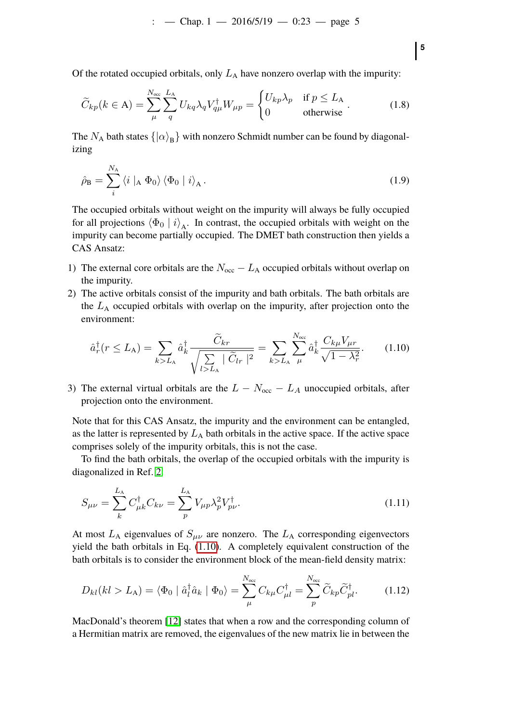Of the rotated occupied orbitals, only  $L_A$  have nonzero overlap with the impurity:

$$
\widetilde{C}_{kp}(k \in A) = \sum_{\mu}^{N_{\text{occ}}} \sum_{q}^{L_A} U_{kq} \lambda_q V_{q\mu}^{\dagger} W_{\mu p} = \begin{cases} U_{kp} \lambda_p & \text{if } p \le L_A \\ 0 & \text{otherwise} \end{cases} . \tag{1.8}
$$

The  $N_{\rm A}$  bath states  $\{\ket{\alpha}_{\rm B}\}$  with nonzero Schmidt number can be found by diagonalizing

$$
\hat{\rho}_{\rm B} = \sum_{i}^{N_{\rm A}} \left\langle i \mid_{\rm A} \Phi_0 \right\rangle \left\langle \Phi_0 \mid i \right\rangle_{\rm A} . \tag{1.9}
$$

The occupied orbitals without weight on the impurity will always be fully occupied for all projections  $\langle \Phi_0 | i \rangle_A$ . In contrast, the occupied orbitals with weight on the impurity can become partially occupied. The DMET bath construction then yields a CAS Ansatz:

- 1) The external core orbitals are the  $N_{\text{occ}} L_A$  occupied orbitals without overlap on the impurity.
- 2) The active orbitals consist of the impurity and bath orbitals. The bath orbitals are the  $L_A$  occupied orbitals with overlap on the impurity, after projection onto the environment:

<span id="page-4-0"></span>
$$
\hat{a}_r^{\dagger}(r \le L_A) = \sum_{k>L_A} \hat{a}_k^{\dagger} \frac{\widetilde{C}_{kr}}{\sqrt{\sum\limits_{l>L_A} |\widetilde{C}_{lr}|^2}} = \sum_{k>L_A} \sum_{\mu}^{N_{\text{occ}}} \hat{a}_k^{\dagger} \frac{C_{k\mu} V_{\mu r}}{\sqrt{1 - \lambda_r^2}}.
$$
(1.10)

3) The external virtual orbitals are the  $L - N_{\text{occ}} - L_A$  unoccupied orbitals, after projection onto the environment.

Note that for this CAS Ansatz, the impurity and the environment can be entangled, as the latter is represented by  $L_A$  bath orbitals in the active space. If the active space comprises solely of the impurity orbitals, this is not the case.

To find the bath orbitals, the overlap of the occupied orbitals with the impurity is diagonalized in Ref. [2:](#page-18-1)

<span id="page-4-1"></span>
$$
S_{\mu\nu} = \sum_{k}^{L_{\rm A}} C_{\mu k}^{\dagger} C_{k\nu} = \sum_{p}^{L_{\rm A}} V_{\mu p} \lambda_{p}^{2} V_{p\nu}^{\dagger}.
$$
 (1.11)

At most  $L_A$  eigenvalues of  $S_{\mu\nu}$  are nonzero. The  $L_A$  corresponding eigenvectors yield the bath orbitals in Eq. [\(1.10\)](#page-4-0). A completely equivalent construction of the bath orbitals is to consider the environment block of the mean-field density matrix:

$$
D_{kl}(kl > L_A) = \langle \Phi_0 | \hat{a}_l^{\dagger} \hat{a}_k | \Phi_0 \rangle = \sum_{\mu}^{N_{\text{occ}}} C_{k\mu} C_{\mu l}^{\dagger} = \sum_{p}^{N_{\text{occ}}} \widetilde{C}_{k p} \widetilde{C}_{p l}^{\dagger}.
$$
 (1.12)

MacDonald's theorem [\[12\]](#page-18-11) states that when a row and the corresponding column of a Hermitian matrix are removed, the eigenvalues of the new matrix lie in between the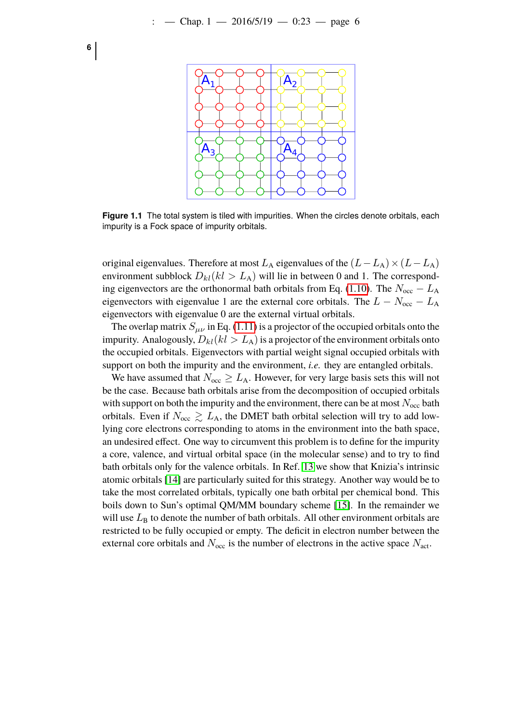<span id="page-5-0"></span>

**Figure 1.1** The total system is tiled with impurities. When the circles denote orbitals, each impurity is a Fock space of impurity orbitals.

original eigenvalues. Therefore at most  $L_A$  eigenvalues of the  $(L-L_A) \times (L-L_A)$ environment subblock  $D_{kl}(kl > L_A)$  will lie in between 0 and 1. The correspond-ing eigenvectors are the orthonormal bath orbitals from Eq. [\(1.10\)](#page-4-0). The  $N_{\text{occ}} - L_A$ eigenvectors with eigenvalue 1 are the external core orbitals. The  $L - N_{\text{occ}} - L_A$ eigenvectors with eigenvalue 0 are the external virtual orbitals.

The overlap matrix  $S_{\mu\nu}$  in Eq. [\(1.11\)](#page-4-1) is a projector of the occupied orbitals onto the impurity. Analogously,  $D_{kl}(kl > L_A)$  is a projector of the environment orbitals onto the occupied orbitals. Eigenvectors with partial weight signal occupied orbitals with support on both the impurity and the environment, *i.e.* they are entangled orbitals.

We have assumed that  $N_{\rm occ} \geq L_{\rm A}$ . However, for very large basis sets this will not be the case. Because bath orbitals arise from the decomposition of occupied orbitals with support on both the impurity and the environment, there can be at most  $N_{\rm occ}$  bath orbitals. Even if  $N_{\text{occ}} \gtrsim L_A$ , the DMET bath orbital selection will try to add lowlying core electrons corresponding to atoms in the environment into the bath space, an undesired effect. One way to circumvent this problem is to define for the impurity a core, valence, and virtual orbital space (in the molecular sense) and to try to find bath orbitals only for the valence orbitals. In Ref. [13](#page-18-12) we show that Knizia's intrinsic atomic orbitals [\[14\]](#page-18-13) are particularly suited for this strategy. Another way would be to take the most correlated orbitals, typically one bath orbital per chemical bond. This boils down to Sun's optimal QM/MM boundary scheme [\[15\]](#page-18-14). In the remainder we will use  $L<sub>B</sub>$  to denote the number of bath orbitals. All other environment orbitals are restricted to be fully occupied or empty. The deficit in electron number between the external core orbitals and  $N_{\text{occ}}$  is the number of electrons in the active space  $N_{\text{act}}$ .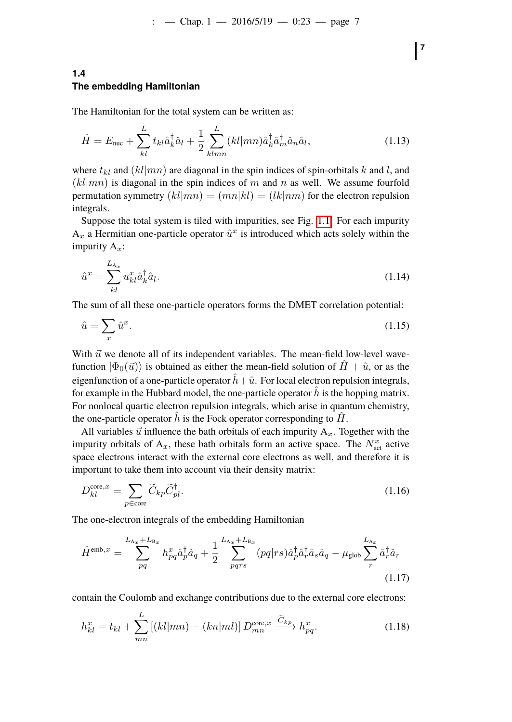## <span id="page-6-0"></span>**1.4 The embedding Hamiltonian**

The Hamiltonian for the total system can be written as:

$$
\hat{H} = E_{\text{nuc}} + \sum_{kl}^{L} t_{kl} \hat{a}_{k}^{\dagger} \hat{a}_{l} + \frac{1}{2} \sum_{klmn}^{L} (kl | mn) \hat{a}_{k}^{\dagger} \hat{a}_{m}^{\dagger} \hat{a}_{n} \hat{a}_{l}, \qquad (1.13)
$$

where  $t_{kl}$  and  $(kl|mn)$  are diagonal in the spin indices of spin-orbitals k and l, and  $(kl|mn)$  is diagonal in the spin indices of m and n as well. We assume fourfold permutation symmetry  $(kl|mn) = (mn|kl) = (lk|nm)$  for the electron repulsion integrals.

Suppose the total system is tiled with impurities, see Fig. [1.1.](#page-5-0) For each impurity  $A_x$  a Hermitian one-particle operator  $\hat{u}^x$  is introduced which acts solely within the impurity  $A_x$ :

$$
\hat{u}^x = \sum_{kl}^{L_{\Lambda_x}} u_{kl}^x \hat{a}_k^\dagger \hat{a}_l. \tag{1.14}
$$

The sum of all these one-particle operators forms the DMET correlation potential:

$$
\hat{u} = \sum_{x} \hat{u}^x. \tag{1.15}
$$

With  $\vec{u}$  we denote all of its independent variables. The mean-field low-level wavefunction  $|\Phi_0(\vec{u})\rangle$  is obtained as either the mean-field solution of  $\hat{H} + \hat{u}$ , or as the eigenfunction of a one-particle operator  $\hat{h} + \hat{u}$ . For local electron repulsion integrals, for example in the Hubbard model, the one-particle operator  $\hat{h}$  is the hopping matrix. For nonlocal quartic electron repulsion integrals, which arise in quantum chemistry, the one-particle operator  $\hat{h}$  is the Fock operator corresponding to  $H$ .

All variables  $\vec{u}$  influence the bath orbitals of each impurity  $A_x$ . Together with the impurity orbitals of  $A_x$ , these bath orbitals form an active space. The  $N_{\text{act}}^x$  active space electrons interact with the external core electrons as well, and therefore it is important to take them into account via their density matrix:

$$
D_{kl}^{\text{core},x} = \sum_{p \in \text{core}} \widetilde{C}_{kp} \widetilde{C}_{pl}^{\dagger}.
$$
\n(1.16)

The one-electron integrals of the embedding Hamiltonian

$$
\hat{H}^{\text{emb},x} = \sum_{pq}^{L_{\text{A}_x} + L_{\text{B}_x}} h_{pq}^x \hat{a}_p^{\dagger} \hat{a}_q + \frac{1}{2} \sum_{pqrs}^{L_{\text{A}_x} + L_{\text{B}_x}} (pq|rs) \hat{a}_p^{\dagger} \hat{a}_r^{\dagger} \hat{a}_s \hat{a}_q - \mu_{\text{glob}} \sum_r^{L_{\text{A}_x}} \hat{a}_r^{\dagger} \hat{a}_r
$$
\n(1.17)

contain the Coulomb and exchange contributions due to the external core electrons:

$$
h_{kl}^x = t_{kl} + \sum_{mn}^{L} [(kl|mn) - (kn|ml)] D_{mn}^{\text{core},x} \xrightarrow{\tilde{C}_{kp}} h_{pq}^x.
$$
 (1.18)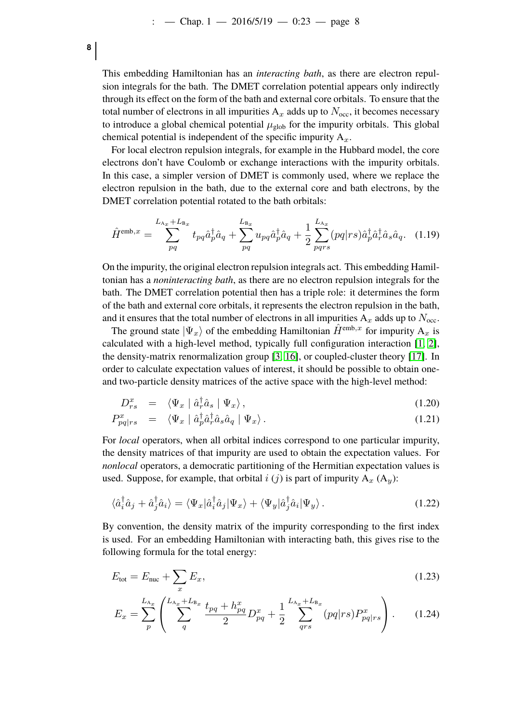This embedding Hamiltonian has an *interacting bath*, as there are electron repulsion integrals for the bath. The DMET correlation potential appears only indirectly through its effect on the form of the bath and external core orbitals. To ensure that the total number of electrons in all impurities  $A_x$  adds up to  $N_{\text{occ}}$ , it becomes necessary to introduce a global chemical potential  $\mu_{\text{glob}}$  for the impurity orbitals. This global chemical potential is independent of the specific impurity  $A_x$ .

For local electron repulsion integrals, for example in the Hubbard model, the core electrons don't have Coulomb or exchange interactions with the impurity orbitals. In this case, a simpler version of DMET is commonly used, where we replace the electron repulsion in the bath, due to the external core and bath electrons, by the DMET correlation potential rotated to the bath orbitals:

<span id="page-7-2"></span>
$$
\hat{H}^{\text{emb},x} = \sum_{pq}^{L_{A_x} + L_{B_x}} t_{pq} \hat{a}_p^{\dagger} \hat{a}_q + \sum_{pq}^{L_{B_x}} u_{pq} \hat{a}_p^{\dagger} \hat{a}_q + \frac{1}{2} \sum_{pqrs}^{L_{A_x}} (pq|rs) \hat{a}_p^{\dagger} \hat{a}_r^{\dagger} \hat{a}_s \hat{a}_q. \quad (1.19)
$$

On the impurity, the original electron repulsion integrals act. This embedding Hamiltonian has a *noninteracting bath*, as there are no electron repulsion integrals for the bath. The DMET correlation potential then has a triple role: it determines the form of the bath and external core orbitals, it represents the electron repulsion in the bath, and it ensures that the total number of electrons in all impurities  $A_x$  adds up to  $N_{\text{occ}}$ .

The ground state  $|\Psi_x\rangle$  of the embedding Hamiltonian  $\hat{H}^{\text{emb},x}$  for impurity  $A_x$  is calculated with a high-level method, typically full configuration interaction [\[1,](#page-18-0) [2\]](#page-18-1), the density-matrix renormalization group [\[3,](#page-18-2) [16\]](#page-19-0), or coupled-cluster theory [\[17\]](#page-19-1). In order to calculate expectation values of interest, it should be possible to obtain oneand two-particle density matrices of the active space with the high-level method:

$$
D_{rs}^{x} = \langle \Psi_x \mid \hat{a}_r^{\dagger} \hat{a}_s \mid \Psi_x \rangle, \qquad (1.20)
$$

$$
P_{pq|rs}^x = \langle \Psi_x \mid \hat{a}_p^\dagger \hat{a}_r^\dagger \hat{a}_s \hat{a}_q \mid \Psi_x \rangle. \tag{1.21}
$$

For *local* operators, when all orbital indices correspond to one particular impurity, the density matrices of that impurity are used to obtain the expectation values. For *nonlocal* operators, a democratic partitioning of the Hermitian expectation values is used. Suppose, for example, that orbital  $i(j)$  is part of impurity  $A_x (A_y)$ :

$$
\langle \hat{a}_i^{\dagger} \hat{a}_j + \hat{a}_j^{\dagger} \hat{a}_i \rangle = \langle \Psi_x | \hat{a}_i^{\dagger} \hat{a}_j | \Psi_x \rangle + \langle \Psi_y | \hat{a}_j^{\dagger} \hat{a}_i | \Psi_y \rangle. \tag{1.22}
$$

By convention, the density matrix of the impurity corresponding to the first index is used. For an embedding Hamiltonian with interacting bath, this gives rise to the following formula for the total energy:

$$
E_{\text{tot}} = E_{\text{nuc}} + \sum_{x} E_x, \tag{1.23}
$$

<span id="page-7-1"></span><span id="page-7-0"></span>
$$
E_x = \sum_{p}^{L_{A_x}} \left( \sum_{q}^{L_{A_x} + L_{B_x}} \frac{t_{pq} + h_{pq}^x}{2} D_{pq}^x + \frac{1}{2} \sum_{qrs}^{L_{A_x} + L_{B_x}} (pq|rs) P_{pq|rs}^x \right). \tag{1.24}
$$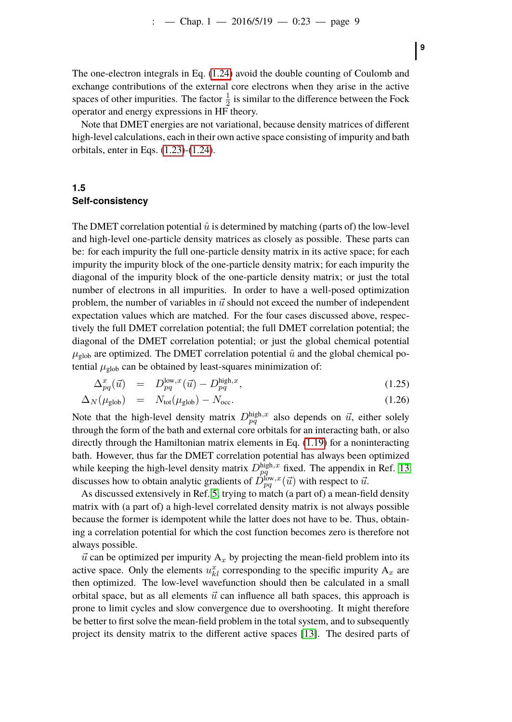The one-electron integrals in Eq. [\(1.24\)](#page-7-0) avoid the double counting of Coulomb and exchange contributions of the external core electrons when they arise in the active spaces of other impurities. The factor  $\frac{1}{2}$  is similar to the difference between the Fock operator and energy expressions in HF theory.

Note that DMET energies are not variational, because density matrices of different high-level calculations, each in their own active space consisting of impurity and bath orbitals, enter in Eqs. [\(1.23\)](#page-7-1)-[\(1.24\)](#page-7-0).

### <span id="page-8-0"></span>**1.5 Self-consistency**

The DMET correlation potential  $\hat{u}$  is determined by matching (parts of) the low-level and high-level one-particle density matrices as closely as possible. These parts can be: for each impurity the full one-particle density matrix in its active space; for each impurity the impurity block of the one-particle density matrix; for each impurity the diagonal of the impurity block of the one-particle density matrix; or just the total number of electrons in all impurities. In order to have a well-posed optimization problem, the number of variables in  $\vec{u}$  should not exceed the number of independent expectation values which are matched. For the four cases discussed above, respectively the full DMET correlation potential; the full DMET correlation potential; the diagonal of the DMET correlation potential; or just the global chemical potential  $\mu_{\text{glob}}$  are optimized. The DMET correlation potential  $\hat{u}$  and the global chemical potential  $\mu_{\text{glob}}$  can be obtained by least-squares minimization of:

$$
\Delta_{pq}^x(\vec{u}) = D_{pq}^{\text{low},x}(\vec{u}) - D_{pq}^{\text{high},x}, \qquad (1.25)
$$

$$
\Delta_N(\mu_{\text{glob}}) = N_{\text{tot}}(\mu_{\text{glob}}) - N_{\text{occ}}.\tag{1.26}
$$

Note that the high-level density matrix  $D_{pq}^{\text{high},x}$  also depends on  $\vec{u}$ , either solely through the form of the bath and external core orbitals for an interacting bath, or also directly through the Hamiltonian matrix elements in Eq. [\(1.19\)](#page-7-2) for a noninteracting bath. However, thus far the DMET correlation potential has always been optimized while keeping the high-level density matrix  $D_{pq}^{\text{high},x}$  fixed. The appendix in Ref. [13](#page-18-12) discusses how to obtain analytic gradients of  $\dot{D}^{\rm low, \it x}_{pq} (\vec{u})$  with respect to  $\vec{u}$ .

As discussed extensively in Ref. [5,](#page-18-4) trying to match (a part of) a mean-field density matrix with (a part of) a high-level correlated density matrix is not always possible because the former is idempotent while the latter does not have to be. Thus, obtaining a correlation potential for which the cost function becomes zero is therefore not always possible.

 $\vec{u}$  can be optimized per impurity  $A_x$  by projecting the mean-field problem into its active space. Only the elements  $u_{kl}^x$  corresponding to the specific impurity  $A_x$  are then optimized. The low-level wavefunction should then be calculated in a small orbital space, but as all elements  $\vec{u}$  can influence all bath spaces, this approach is prone to limit cycles and slow convergence due to overshooting. It might therefore be better to first solve the mean-field problem in the total system, and to subsequently project its density matrix to the different active spaces [\[13\]](#page-18-12). The desired parts of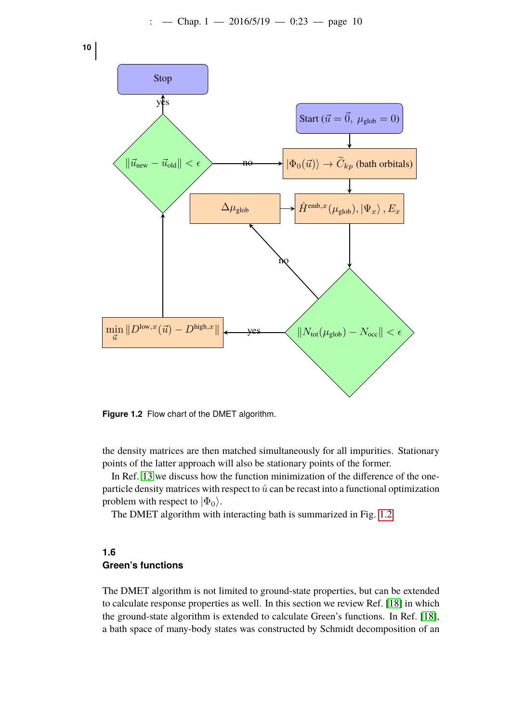<span id="page-9-1"></span>

**Figure 1.2** Flow chart of the DMET algorithm.

the density matrices are then matched simultaneously for all impurities. Stationary points of the latter approach will also be stationary points of the former.

In Ref. [13](#page-18-12) we discuss how the function minimization of the difference of the oneparticle density matrices with respect to  $\hat{u}$  can be recast into a functional optimization problem with respect to  $|\Phi_0\rangle$ .

The DMET algorithm with interacting bath is summarized in Fig. [1.2.](#page-9-1)

## <span id="page-9-0"></span>**1.6 Green's functions**

The DMET algorithm is not limited to ground-state properties, but can be extended to calculate response properties as well. In this section we review Ref. [\[18\]](#page-19-2) in which the ground-state algorithm is extended to calculate Green's functions. In Ref. [\[18\]](#page-19-2), a bath space of many-body states was constructed by Schmidt decomposition of an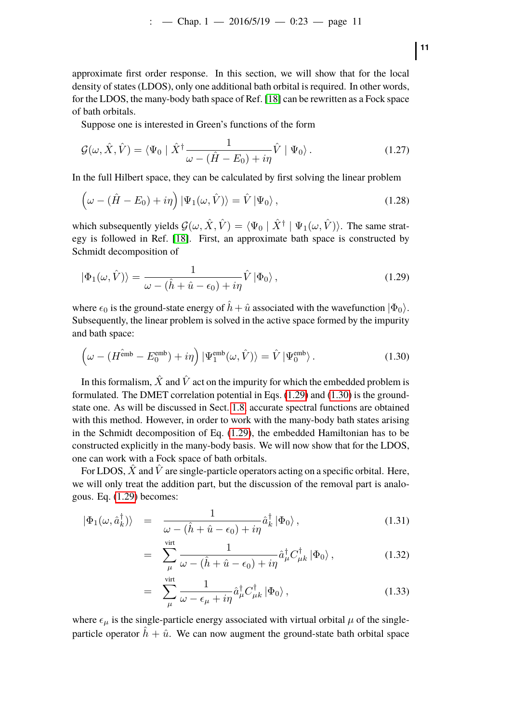approximate first order response. In this section, we will show that for the local density of states (LDOS), only one additional bath orbital is required. In other words, for the LDOS, the many-body bath space of Ref. [\[18\]](#page-19-2) can be rewritten as a Fock space of bath orbitals.

Suppose one is interested in Green's functions of the form

$$
\mathcal{G}(\omega, \hat{X}, \hat{V}) = \langle \Psi_0 | \hat{X}^\dagger \frac{1}{\omega - (\hat{H} - E_0) + i\eta} \hat{V} | \Psi_0 \rangle.
$$
 (1.27)

In the full Hilbert space, they can be calculated by first solving the linear problem

$$
\left(\omega - (\hat{H} - E_0) + i\eta\right) |\Psi_1(\omega, \hat{V})\rangle = \hat{V} |\Psi_0\rangle, \qquad (1.28)
$$

which subsequently yields  $\mathcal{G}(\omega, \hat{X}, \hat{V}) = \langle \Psi_0 | \hat{X}^{\dagger} | \Psi_1(\omega, \hat{V}) \rangle$ . The same strategy is followed in Ref. [\[18\]](#page-19-2). First, an approximate bath space is constructed by Schmidt decomposition of

<span id="page-10-0"></span>
$$
|\Phi_1(\omega,\hat{V})\rangle = \frac{1}{\omega - (\hat{h} + \hat{u} - \epsilon_0) + i\eta} \hat{V} |\Phi_0\rangle, \qquad (1.29)
$$

where  $\epsilon_0$  is the ground-state energy of  $\hat{h} + \hat{u}$  associated with the wavefunction  $|\Phi_0\rangle$ . Subsequently, the linear problem is solved in the active space formed by the impurity and bath space:

<span id="page-10-1"></span>
$$
\left(\omega - (H^{\text{emb}} - E_0^{\text{emb}}) + i\eta\right) |\Psi_1^{\text{emb}}(\omega, \hat{V})\rangle = \hat{V} |\Psi_0^{\text{emb}}\rangle. \tag{1.30}
$$

In this formalism,  $\hat{X}$  and  $\hat{V}$  act on the impurity for which the embedded problem is formulated. The DMET correlation potential in Eqs. [\(1.29\)](#page-10-0) and [\(1.30\)](#page-10-1) is the groundstate one. As will be discussed in Sect. [1.8,](#page-11-0) accurate spectral functions are obtained with this method. However, in order to work with the many-body bath states arising in the Schmidt decomposition of Eq. [\(1.29\)](#page-10-0), the embedded Hamiltonian has to be constructed explicitly in the many-body basis. We will now show that for the LDOS, one can work with a Fock space of bath orbitals.

For LDOS,  $\hat{X}$  and  $\hat{V}$  are single-particle operators acting on a specific orbital. Here, we will only treat the addition part, but the discussion of the removal part is analogous. Eq. [\(1.29\)](#page-10-0) becomes:

$$
|\Phi_1(\omega, \hat{a}_k^{\dagger})\rangle = \frac{1}{\omega - (\hat{h} + \hat{u} - \epsilon_0) + i\eta} \hat{a}_k^{\dagger} |\Phi_0\rangle, \qquad (1.31)
$$

$$
= \sum_{\mu}^{\text{virt}} \frac{1}{\omega - (\hat{h} + \hat{u} - \epsilon_0) + i\eta} \hat{a}^{\dagger}_{\mu} C^{\dagger}_{\mu k} | \Phi_0 \rangle, \qquad (1.32)
$$

$$
= \sum_{\mu}^{\text{virt}} \frac{1}{\omega - \epsilon_{\mu} + i\eta} \hat{a}_{\mu}^{\dagger} C_{\mu k}^{\dagger} | \Phi_0 \rangle , \qquad (1.33)
$$

where  $\epsilon_{\mu}$  is the single-particle energy associated with virtual orbital  $\mu$  of the singleparticle operator  $\hat{h} + \hat{u}$ . We can now augment the ground-state bath orbital space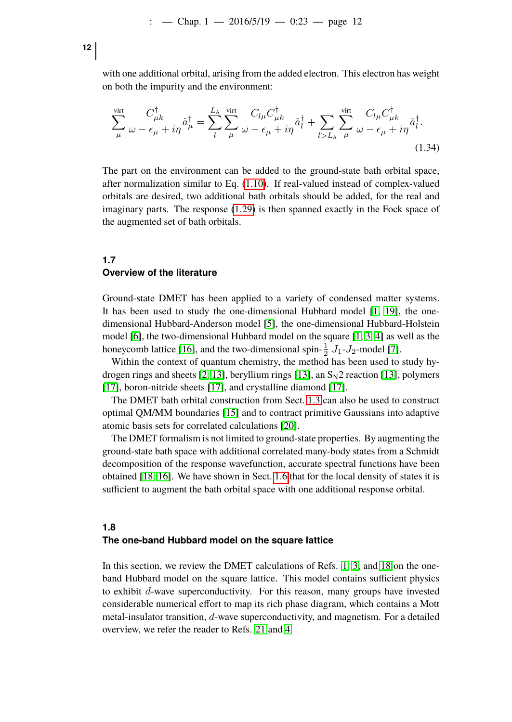with one additional orbital, arising from the added electron. This electron has weight on both the impurity and the environment:

$$
\sum_{\mu}^{\text{virt}} \frac{C_{\mu k}^{\dagger}}{\omega - \epsilon_{\mu} + i\eta} \hat{a}_{\mu}^{\dagger} = \sum_{l}^{L_{\text{A}}} \sum_{\mu}^{\text{virt}} \frac{C_{l\mu} C_{\mu k}^{\dagger}}{\omega - \epsilon_{\mu} + i\eta} \hat{a}_{l}^{\dagger} + \sum_{l > L_{\text{A}}} \sum_{\mu}^{\text{virt}} \frac{C_{l\mu} C_{\mu k}^{\dagger}}{\omega - \epsilon_{\mu} + i\eta} \hat{a}_{l}^{\dagger}.
$$
\n(1.34)

The part on the environment can be added to the ground-state bath orbital space, after normalization similar to Eq. [\(1.10\)](#page-4-0). If real-valued instead of complex-valued orbitals are desired, two additional bath orbitals should be added, for the real and imaginary parts. The response [\(1.29\)](#page-10-0) is then spanned exactly in the Fock space of the augmented set of bath orbitals.

# <span id="page-11-1"></span>**1.7 Overview of the literature**

Ground-state DMET has been applied to a variety of condensed matter systems. It has been used to study the one-dimensional Hubbard model [\[1,](#page-18-0) [19\]](#page-19-3), the onedimensional Hubbard-Anderson model [\[5\]](#page-18-4), the one-dimensional Hubbard-Holstein model [\[6\]](#page-18-5), the two-dimensional Hubbard model on the square [\[1,](#page-18-0) [3,](#page-18-2) [4\]](#page-18-3) as well as the honeycomb lattice [\[16\]](#page-19-0), and the two-dimensional spin- $\frac{1}{2}$   $J_1$ - $J_2$ -model [\[7\]](#page-18-6).

Within the context of quantum chemistry, the method has been used to study hy-drogen rings and sheets [\[2,](#page-18-1) [13\]](#page-18-12), beryllium rings [\[13\]](#page-18-12), an  $S<sub>N</sub>2$  reaction [13], polymers [\[17\]](#page-19-1), boron-nitride sheets [17], and crystalline diamond [17].

The DMET bath orbital construction from Sect. [1.3](#page-3-1) can also be used to construct optimal QM/MM boundaries [\[15\]](#page-18-14) and to contract primitive Gaussians into adaptive atomic basis sets for correlated calculations [\[20\]](#page-19-4).

The DMET formalism is not limited to ground-state properties. By augmenting the ground-state bath space with additional correlated many-body states from a Schmidt decomposition of the response wavefunction, accurate spectral functions have been obtained [\[18,](#page-19-2) [16\]](#page-19-0). We have shown in Sect. [1.6](#page-9-0) that for the local density of states it is sufficient to augment the bath orbital space with one additional response orbital.

#### <span id="page-11-0"></span>**1.8**

#### **The one-band Hubbard model on the square lattice**

In this section, we review the DMET calculations of Refs. [1,](#page-18-0) [3,](#page-18-2) and [18](#page-19-2) on the oneband Hubbard model on the square lattice. This model contains sufficient physics to exhibit d-wave superconductivity. For this reason, many groups have invested considerable numerical effort to map its rich phase diagram, which contains a Mott metal-insulator transition, d-wave superconductivity, and magnetism. For a detailed overview, we refer the reader to Refs. [21](#page-19-5) and [4.](#page-18-3)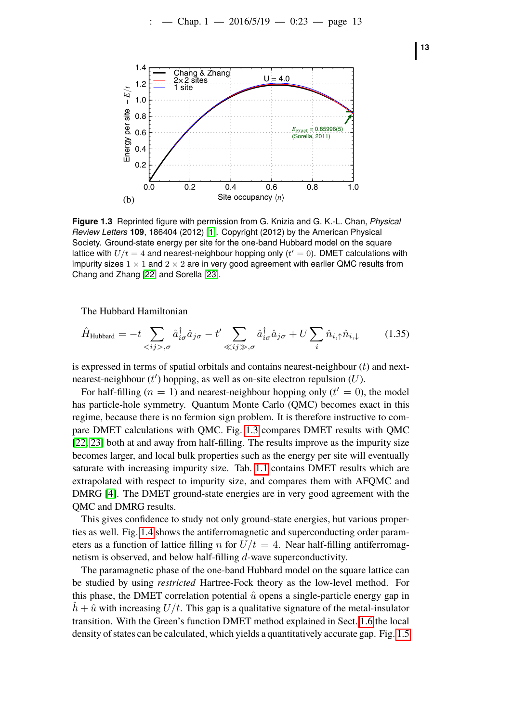<span id="page-12-0"></span>

**Figure 1.3** Reprinted figure with permission from G. Knizia and G. K.-L. Chan, *Physical Review Letters* **109**, 186404 (2012) [\[1\]](#page-18-0). Copyright (2012) by the American Physical Society. Ground-state energy per site for the one-band Hubbard model on the square lattice with  $U/t = 4$  and nearest-neighbour hopping only ( $t' = 0$ ). DMET calculations with impurity sizes  $1 \times 1$  and  $2 \times 2$  are in very good agreement with earlier QMC results from Chang and Zhang [\[22\]](#page-19-6) and Sorella [\[23\]](#page-19-7).

The Hubbard Hamiltonian

$$
\hat{H}_{\text{Hubbard}} = -t \sum_{\langle ij \rangle, \sigma} \hat{a}_{i\sigma}^{\dagger} \hat{a}_{j\sigma} - t' \sum_{\langle ij \rangle, \sigma} \hat{a}_{i\sigma}^{\dagger} \hat{a}_{j\sigma} + U \sum_{i} \hat{n}_{i,\uparrow} \hat{n}_{i,\downarrow}
$$
(1.35)

is expressed in terms of spatial orbitals and contains nearest-neighbour  $(t)$  and nextnearest-neighbour  $(t')$  hopping, as well as on-site electron repulsion  $(U)$ .

For half-filling ( $n = 1$ ) and nearest-neighbour hopping only ( $t' = 0$ ), the model has particle-hole symmetry. Quantum Monte Carlo (QMC) becomes exact in this regime, because there is no fermion sign problem. It is therefore instructive to compare DMET calculations with QMC. Fig. [1.3](#page-12-0) compares DMET results with QMC [\[22,](#page-19-6) [23\]](#page-19-7) both at and away from half-filling. The results improve as the impurity size becomes larger, and local bulk properties such as the energy per site will eventually saturate with increasing impurity size. Tab. [1.1](#page-13-0) contains DMET results which are extrapolated with respect to impurity size, and compares them with AFQMC and DMRG [\[4\]](#page-18-3). The DMET ground-state energies are in very good agreement with the QMC and DMRG results.

This gives confidence to study not only ground-state energies, but various properties as well. Fig. [1.4](#page-13-1) shows the antiferromagnetic and superconducting order parameters as a function of lattice filling n for  $U/t = 4$ . Near half-filling antiferromagnetism is observed, and below half-filling d-wave superconductivity.

The paramagnetic phase of the one-band Hubbard model on the square lattice can be studied by using *restricted* Hartree-Fock theory as the low-level method. For this phase, the DMET correlation potential  $\hat{u}$  opens a single-particle energy gap in  $\hat{h} + \hat{u}$  with increasing  $U/t$ . This gap is a qualitative signature of the metal-insulator transition. With the Green's function DMET method explained in Sect. [1.6](#page-9-0) the local density of states can be calculated, which yields a quantitatively accurate gap. Fig. [1.5](#page-14-0)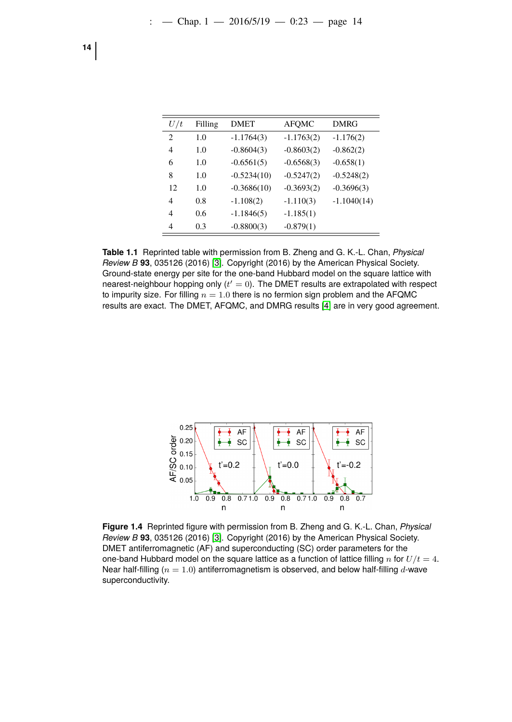<span id="page-13-0"></span>

| U/t            | Filling | <b>DMET</b>   | <b>AFOMC</b> | <b>DMRG</b>   |
|----------------|---------|---------------|--------------|---------------|
| $\overline{c}$ | 1.0     | $-1.1764(3)$  | $-1.1763(2)$ | $-1.176(2)$   |
| 4              | 1.0     | $-0.8604(3)$  | $-0.8603(2)$ | $-0.862(2)$   |
| 6              | 1.0     | $-0.6561(5)$  | $-0.6568(3)$ | $-0.658(1)$   |
| 8              | 1.0     | $-0.5234(10)$ | $-0.5247(2)$ | $-0.5248(2)$  |
| 12             | 1.0     | $-0.3686(10)$ | $-0.3693(2)$ | $-0.3696(3)$  |
| 4              | 0.8     | $-1.108(2)$   | $-1.110(3)$  | $-1.1040(14)$ |
| 4              | 0.6     | $-1.1846(5)$  | $-1.185(1)$  |               |
| 4              | 0.3     | $-0.8800(3)$  | $-0.879(1)$  |               |

**Table 1.1** Reprinted table with permission from B. Zheng and G. K.-L. Chan, *Physical Review B* **93**, 035126 (2016) [\[3\]](#page-18-2). Copyright (2016) by the American Physical Society. Ground-state energy per site for the one-band Hubbard model on the square lattice with nearest-neighbour hopping only ( $t'=0$ ). The DMET results are extrapolated with respect to impurity size. For filling  $n = 1.0$  there is no fermion sign problem and the AFQMC results are exact. The DMET, AFQMC, and DMRG results [\[4\]](#page-18-3) are in very good agreement.

<span id="page-13-1"></span>

**Figure 1.4** Reprinted figure with permission from B. Zheng and G. K.-L. Chan, *Physical Review B* **93**, 035126 (2016) [\[3\]](#page-18-2). Copyright (2016) by the American Physical Society. DMET antiferromagnetic (AF) and superconducting (SC) order parameters for the one-band Hubbard model on the square lattice as a function of lattice filling n for  $U/t = 4$ . Near half-filling ( $n = 1.0$ ) antiferromagnetism is observed, and below half-filling d-wave superconductivity.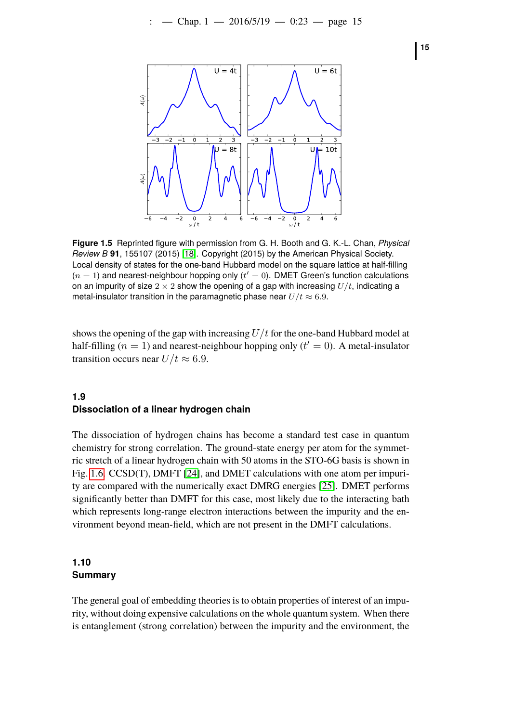<span id="page-14-0"></span>

**Figure 1.5** Reprinted figure with permission from G. H. Booth and G. K.-L. Chan, *Physical Review B* **91**, 155107 (2015) [\[18\]](#page-19-2). Copyright (2015) by the American Physical Society. Local density of states for the one-band Hubbard model on the square lattice at half-filling  $(n = 1)$  and nearest-neighbour hopping only  $(t' = 0)$ . DMET Green's function calculations on an impurity of size  $2 \times 2$  show the opening of a gap with increasing  $U/t$ , indicating a metal-insulator transition in the paramagnetic phase near  $U/t \approx 6.9$ .

shows the opening of the gap with increasing  $U/t$  for the one-band Hubbard model at half-filling ( $n = 1$ ) and nearest-neighbour hopping only ( $t' = 0$ ). A metal-insulator transition occurs near  $U/t \approx 6.9$ .

# <span id="page-14-1"></span>**1.9 Dissociation of a linear hydrogen chain**

The dissociation of hydrogen chains has become a standard test case in quantum chemistry for strong correlation. The ground-state energy per atom for the symmetric stretch of a linear hydrogen chain with 50 atoms in the STO-6G basis is shown in Fig. [1.6.](#page-15-0) CCSD(T), DMFT [\[24\]](#page-19-8), and DMET calculations with one atom per impurity are compared with the numerically exact DMRG energies [\[25\]](#page-19-9). DMET performs significantly better than DMFT for this case, most likely due to the interacting bath which represents long-range electron interactions between the impurity and the environment beyond mean-field, which are not present in the DMFT calculations.

# **1.10 Summary**

The general goal of embedding theories is to obtain properties of interest of an impurity, without doing expensive calculations on the whole quantum system. When there is entanglement (strong correlation) between the impurity and the environment, the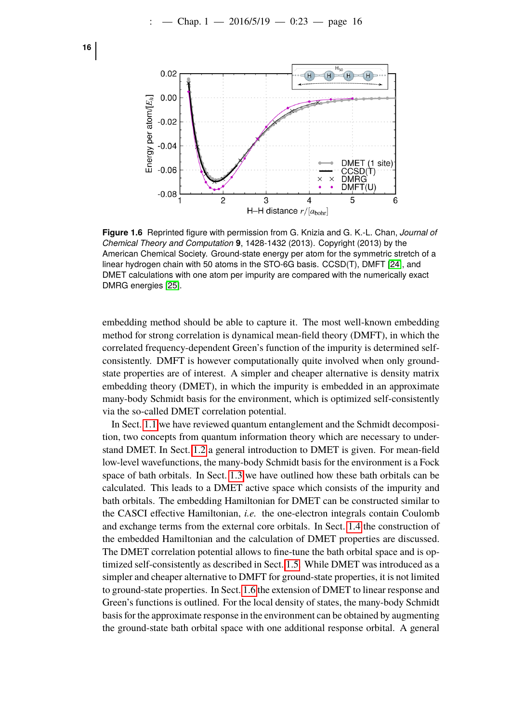<span id="page-15-0"></span>

**Figure 1.6** Reprinted figure with permission from G. Knizia and G. K.-L. Chan, *Journal of Chemical Theory and Computation* **9**, 1428-1432 (2013). Copyright (2013) by the American Chemical Society. Ground-state energy per atom for the symmetric stretch of a linear hydrogen chain with 50 atoms in the STO-6G basis. CCSD(T), DMFT [\[24\]](#page-19-8), and DMET calculations with one atom per impurity are compared with the numerically exact DMRG energies [\[25\]](#page-19-9).

embedding method should be able to capture it. The most well-known embedding method for strong correlation is dynamical mean-field theory (DMFT), in which the correlated frequency-dependent Green's function of the impurity is determined selfconsistently. DMFT is however computationally quite involved when only groundstate properties are of interest. A simpler and cheaper alternative is density matrix embedding theory (DMET), in which the impurity is embedded in an approximate many-body Schmidt basis for the environment, which is optimized self-consistently via the so-called DMET correlation potential.

In Sect. [1.1](#page-0-0) we have reviewed quantum entanglement and the Schmidt decomposition, two concepts from quantum information theory which are necessary to understand DMET. In Sect. [1.2](#page-1-1) a general introduction to DMET is given. For mean-field low-level wavefunctions, the many-body Schmidt basis for the environment is a Fock space of bath orbitals. In Sect. [1.3](#page-3-1) we have outlined how these bath orbitals can be calculated. This leads to a DMET active space which consists of the impurity and bath orbitals. The embedding Hamiltonian for DMET can be constructed similar to the CASCI effective Hamiltonian, *i.e.* the one-electron integrals contain Coulomb and exchange terms from the external core orbitals. In Sect. [1.4](#page-6-0) the construction of the embedded Hamiltonian and the calculation of DMET properties are discussed. The DMET correlation potential allows to fine-tune the bath orbital space and is optimized self-consistently as described in Sect. [1.5.](#page-8-0) While DMET was introduced as a simpler and cheaper alternative to DMFT for ground-state properties, it is not limited to ground-state properties. In Sect. [1.6](#page-9-0) the extension of DMET to linear response and Green's functions is outlined. For the local density of states, the many-body Schmidt basis for the approximate response in the environment can be obtained by augmenting the ground-state bath orbital space with one additional response orbital. A general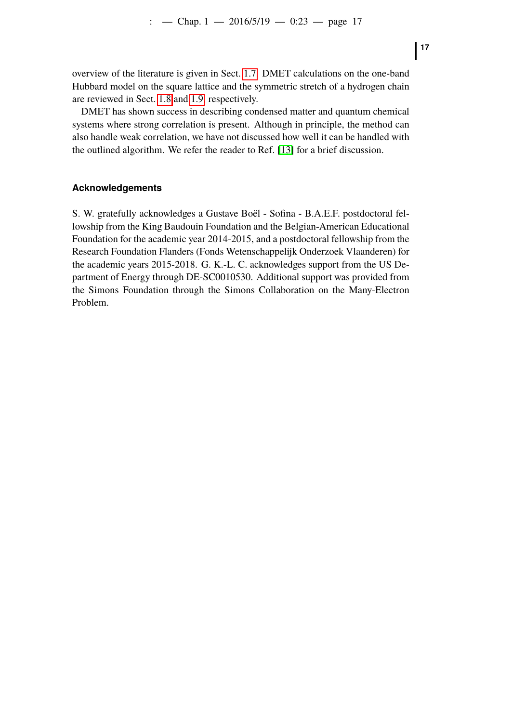overview of the literature is given in Sect. [1.7.](#page-11-1) DMET calculations on the one-band Hubbard model on the square lattice and the symmetric stretch of a hydrogen chain are reviewed in Sect. [1.8](#page-11-0) and [1.9,](#page-14-1) respectively.

DMET has shown success in describing condensed matter and quantum chemical systems where strong correlation is present. Although in principle, the method can also handle weak correlation, we have not discussed how well it can be handled with the outlined algorithm. We refer the reader to Ref. [\[13\]](#page-18-12) for a brief discussion.

### **Acknowledgements**

S. W. gratefully acknowledges a Gustave Boël - Sofina - B.A.E.F. postdoctoral fellowship from the King Baudouin Foundation and the Belgian-American Educational Foundation for the academic year 2014-2015, and a postdoctoral fellowship from the Research Foundation Flanders (Fonds Wetenschappelijk Onderzoek Vlaanderen) for the academic years 2015-2018. G. K.-L. C. acknowledges support from the US Department of Energy through DE-SC0010530. Additional support was provided from the Simons Foundation through the Simons Collaboration on the Many-Electron Problem.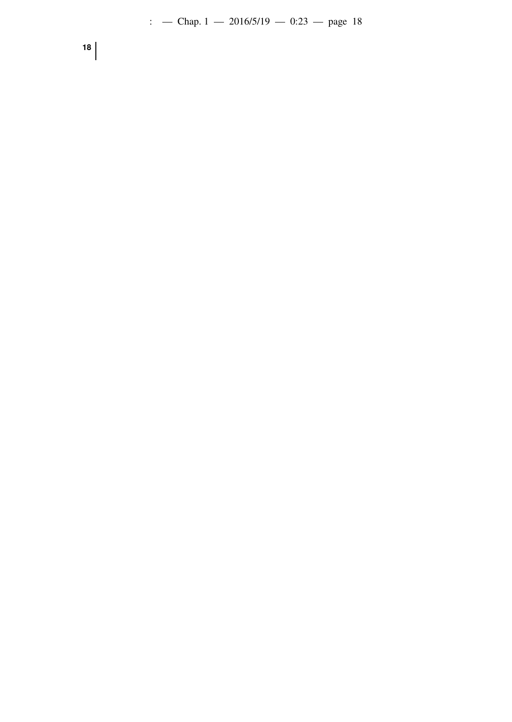:  $-\text{Chap. } 1 - 2016/5/19 - 0:23 - \text{page 18}$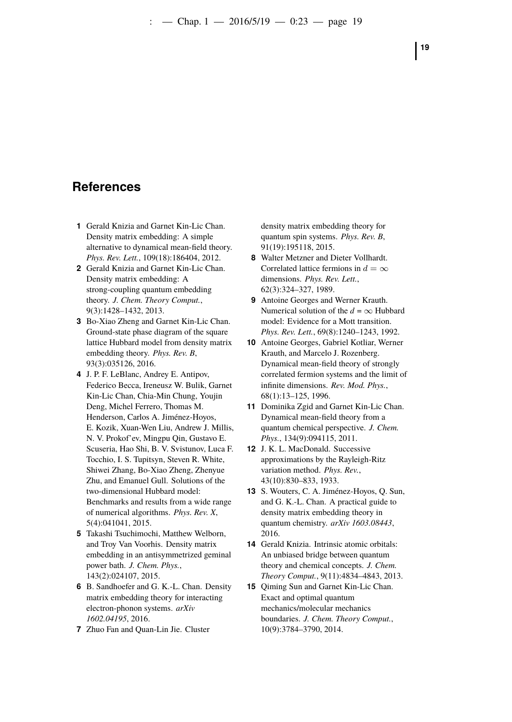# **References**

- <span id="page-18-0"></span>**1** Gerald Knizia and Garnet Kin-Lic Chan. Density matrix embedding: A simple alternative to dynamical mean-field theory. *Phys. Rev. Lett.*, 109(18):186404, 2012.
- <span id="page-18-1"></span>**2** Gerald Knizia and Garnet Kin-Lic Chan. Density matrix embedding: A strong-coupling quantum embedding theory. *J. Chem. Theory Comput.*, 9(3):1428–1432, 2013.
- <span id="page-18-2"></span>**3** Bo-Xiao Zheng and Garnet Kin-Lic Chan. Ground-state phase diagram of the square lattice Hubbard model from density matrix embedding theory. *Phys. Rev. B*, 93(3):035126, 2016.
- <span id="page-18-3"></span>**4** J. P. F. LeBlanc, Andrey E. Antipov, Federico Becca, Ireneusz W. Bulik, Garnet Kin-Lic Chan, Chia-Min Chung, Youjin Deng, Michel Ferrero, Thomas M. Henderson, Carlos A. Jiménez-Hoyos, E. Kozik, Xuan-Wen Liu, Andrew J. Millis, N. V. Prokof'ev, Mingpu Qin, Gustavo E. Scuseria, Hao Shi, B. V. Svistunov, Luca F. Tocchio, I. S. Tupitsyn, Steven R. White, Shiwei Zhang, Bo-Xiao Zheng, Zhenyue Zhu, and Emanuel Gull. Solutions of the two-dimensional Hubbard model: Benchmarks and results from a wide range of numerical algorithms. *Phys. Rev. X*, 5(4):041041, 2015.
- <span id="page-18-4"></span>**5** Takashi Tsuchimochi, Matthew Welborn, and Troy Van Voorhis. Density matrix embedding in an antisymmetrized geminal power bath. *J. Chem. Phys.*, 143(2):024107, 2015.
- <span id="page-18-5"></span>**6** B. Sandhoefer and G. K.-L. Chan. Density matrix embedding theory for interacting electron-phonon systems. *arXiv 1602.04195*, 2016.
- <span id="page-18-6"></span>**7** Zhuo Fan and Quan-Lin Jie. Cluster

density matrix embedding theory for quantum spin systems. *Phys. Rev. B*, 91(19):195118, 2015.

- <span id="page-18-7"></span>**8** Walter Metzner and Dieter Vollhardt. Correlated lattice fermions in  $d = \infty$ dimensions. *Phys. Rev. Lett.*, 62(3):324–327, 1989.
- <span id="page-18-8"></span>**9** Antoine Georges and Werner Krauth. Numerical solution of the  $d = \infty$  Hubbard model: Evidence for a Mott transition. *Phys. Rev. Lett.*, 69(8):1240–1243, 1992.
- <span id="page-18-9"></span>**10** Antoine Georges, Gabriel Kotliar, Werner Krauth, and Marcelo J. Rozenberg. Dynamical mean-field theory of strongly correlated fermion systems and the limit of infinite dimensions. *Rev. Mod. Phys.*, 68(1):13–125, 1996.
- <span id="page-18-10"></span>**11** Dominika Zgid and Garnet Kin-Lic Chan. Dynamical mean-field theory from a quantum chemical perspective. *J. Chem. Phys.*, 134(9):094115, 2011.
- <span id="page-18-11"></span>**12** J. K. L. MacDonald. Successive approximations by the Rayleigh-Ritz variation method. *Phys. Rev.*, 43(10):830–833, 1933.
- <span id="page-18-12"></span>**13** S. Wouters, C. A. Jiménez-Hoyos, Q. Sun, and G. K.-L. Chan. A practical guide to density matrix embedding theory in quantum chemistry. *arXiv 1603.08443*, 2016.
- <span id="page-18-13"></span>**14** Gerald Knizia. Intrinsic atomic orbitals: An unbiased bridge between quantum theory and chemical concepts. *J. Chem. Theory Comput.*, 9(11):4834–4843, 2013.
- <span id="page-18-14"></span>**15** Qiming Sun and Garnet Kin-Lic Chan. Exact and optimal quantum mechanics/molecular mechanics boundaries. *J. Chem. Theory Comput.*, 10(9):3784–3790, 2014.